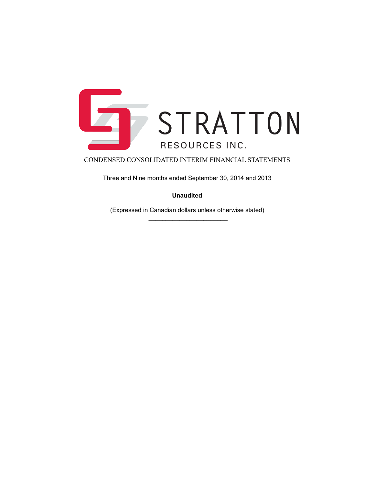

Three and Nine months ended September 30, 2014 and 2013

# **Unaudited**

(Expressed in Canadian dollars unless otherwise stated)  $\frac{1}{2}$  ,  $\frac{1}{2}$  ,  $\frac{1}{2}$  ,  $\frac{1}{2}$  ,  $\frac{1}{2}$  ,  $\frac{1}{2}$  ,  $\frac{1}{2}$  ,  $\frac{1}{2}$  ,  $\frac{1}{2}$  ,  $\frac{1}{2}$  ,  $\frac{1}{2}$  ,  $\frac{1}{2}$  ,  $\frac{1}{2}$  ,  $\frac{1}{2}$  ,  $\frac{1}{2}$  ,  $\frac{1}{2}$  ,  $\frac{1}{2}$  ,  $\frac{1}{2}$  ,  $\frac{1$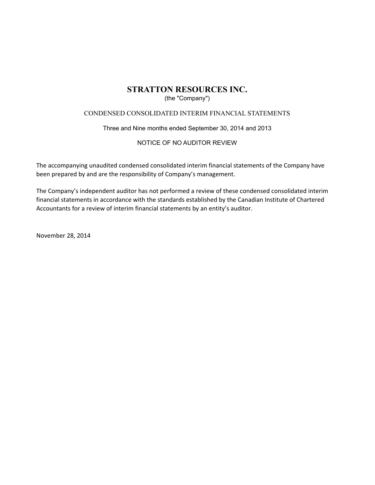# (the "Company")

# CONDENSED CONSOLIDATED INTERIM FINANCIAL STATEMENTS

Three and Nine months ended September 30, 2014 and 2013

# NOTICE OF NO AUDITOR REVIEW

The accompanying unaudited condensed consolidated interim financial statements of the Company have been prepared by and are the responsibility of Company's management.

The Company's independent auditor has not performed a review of these condensed consolidated interim financial statements in accordance with the standards established by the Canadian Institute of Chartered Accountants for a review of interim financial statements by an entity's auditor.

November\$28,\$2014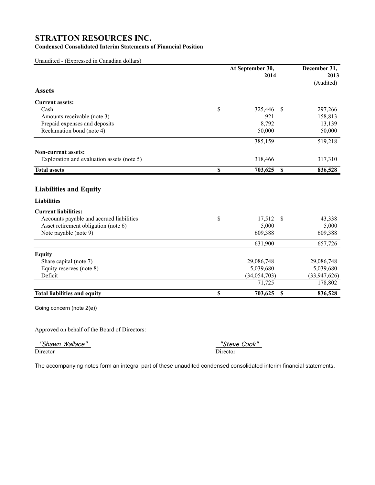# **Condensed Consolidated Interim Statements of Financial Position**

Unaudited - (Expressed in Canadian dollars)

|                                            | At September 30, |                           | December 31, |  |  |
|--------------------------------------------|------------------|---------------------------|--------------|--|--|
|                                            | 2014             |                           | 2013         |  |  |
|                                            |                  |                           | (Audited)    |  |  |
| <b>Assets</b>                              |                  |                           |              |  |  |
| <b>Current assets:</b>                     |                  |                           |              |  |  |
| Cash                                       | \$<br>325,446    | $\mathcal{S}$             | 297,266      |  |  |
| Amounts receivable (note 3)                | 921              |                           | 158,813      |  |  |
| Prepaid expenses and deposits              | 8,792            |                           | 13,139       |  |  |
| Reclamation bond (note 4)                  | 50,000           |                           | 50,000       |  |  |
|                                            | 385,159          |                           | 519,218      |  |  |
| <b>Non-current assets:</b>                 |                  |                           |              |  |  |
| Exploration and evaluation assets (note 5) | 318,466          |                           | 317,310      |  |  |
| <b>Total assets</b>                        | \$<br>703,625    | <sup>\$</sup>             | 836,528      |  |  |
| <b>Liabilities and Equity</b>              |                  |                           |              |  |  |
| <b>Liabilities</b>                         |                  |                           |              |  |  |
| <b>Current liabilities:</b>                |                  |                           |              |  |  |
| Accounts payable and accrued liabilities   | \$<br>17,512     | \$                        | 43,338       |  |  |
| Asset retirement obligation (note 6)       | 5,000            |                           | 5,000        |  |  |
| Note payable (note 9)                      | 609,388          |                           | 609,388      |  |  |
|                                            | 631,900          |                           | 657,726      |  |  |
| <b>Equity</b>                              |                  |                           |              |  |  |
| Share capital (note 7)                     | 29,086,748       |                           | 29,086,748   |  |  |
| Equity reserves (note 8)                   | 5,039,680        |                           | 5,039,680    |  |  |
| Deficit                                    | (34, 054, 703)   |                           | (33,947,626) |  |  |
|                                            | 71,725           |                           | 178,802      |  |  |
| <b>Total liabilities and equity</b>        | \$<br>703,625    | $\boldsymbol{\mathsf{S}}$ | 836,528      |  |  |
| Going concern (note 2(e))                  |                  |                           |              |  |  |

Approved on behalf of the Board of Directors:

"Shawn Wallace" "Steve Cook"

Director Director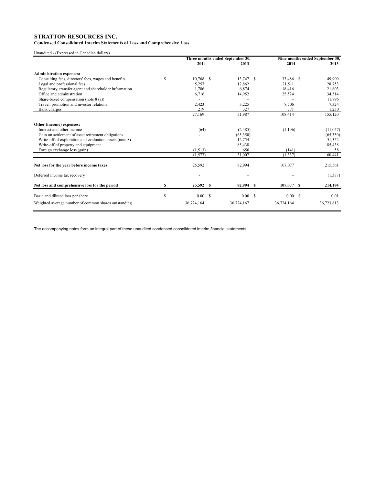**Condensed Consolidated Interim Statements of Loss and Comprehensive Loss**

Unaudited - (Expressed in Canadian dollars)

|                                                         |   | Three months ended September 30, |  |            |  | Nine months ended September 30, |   |            |  |
|---------------------------------------------------------|---|----------------------------------|--|------------|--|---------------------------------|---|------------|--|
|                                                         |   | 2014                             |  | 2013       |  | 2014                            |   | 2013       |  |
| <b>Administration expenses:</b>                         |   |                                  |  |            |  |                                 |   |            |  |
| Consulting fees, directors' fees, wages and benefits    | S | $10,768$ \$                      |  | 13,747 \$  |  | 33,486 \$                       |   | 49,900     |  |
| Legal and professional fees                             |   | 5,257                            |  | 12,862     |  | 21,511                          |   | 28,753     |  |
| Regulatory, transfer agent and shareholder information  |   | 1,786                            |  | 6,874      |  | 18,416                          |   | 21,603     |  |
| Office and administration                               |   | 6,716                            |  | 14,952     |  | 25,524                          |   | 34,514     |  |
| Share-based compensation (note $8$ (a))                 |   |                                  |  |            |  |                                 |   | 11,796     |  |
| Travel, promotion and investor relations                |   | 2,423                            |  | 3,225      |  | 8,706                           |   | 7,324      |  |
| Bank charges                                            |   | 219                              |  | 327        |  | 771                             |   | 1,230      |  |
|                                                         |   | 27,169                           |  | 51,987     |  | 108,414                         |   | 155,120    |  |
| Other (income) expenses:                                |   |                                  |  |            |  |                                 |   |            |  |
| Interest and other income                               |   | (64)                             |  | (2,485)    |  | (1,196)                         |   | (11, 057)  |  |
| Gain on settlement of asset retirement obligations      |   |                                  |  | (65,350)   |  |                                 |   | (65,350)   |  |
| Write-off of exploration and evaluation assets (note 8) |   |                                  |  | 12,754     |  |                                 |   | 51,352     |  |
| Write-off of property and equipment                     |   |                                  |  | 85,438     |  |                                 |   | 85,438     |  |
| Foreign exchange loss (gain)                            |   | (1,513)                          |  | 650        |  | (141)                           |   | 58         |  |
|                                                         |   | (1.577)                          |  | 31.007     |  | (1.337)                         |   | 60,441     |  |
| Net loss for the year before income taxes               |   | 25,592                           |  | 82,994     |  | 107,077                         |   | 215,561    |  |
| Deferred income tax recovery                            |   |                                  |  |            |  |                                 |   | (1,377)    |  |
| Net loss and comprehensive loss for the period          | S | 25,592 \$                        |  | 82,994 \$  |  | 107,077                         | s | 214,184    |  |
| Basic and diluted loss per share                        | S | 0.00 S                           |  | 0.00 S     |  | 0.00 S                          |   | 0.01       |  |
|                                                         |   |                                  |  |            |  |                                 |   |            |  |
| Weighted average number of common shares outstanding    |   | 36,724,164                       |  | 36,724,167 |  | 36,724,164                      |   | 36,723,613 |  |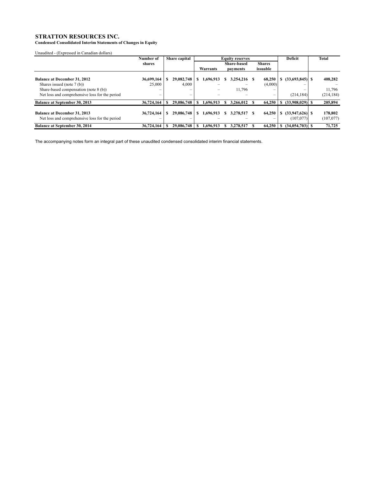**Condensed Consolidated Interim Statements of Changes in Equity**

Unaudited - (Expressed in Canadian dollars)

|                                                                                       | Number of  | Share capital              | <b>Equity reserves</b> |                    |  |           |               |             | Deficit | <b>Total</b>                   |                       |
|---------------------------------------------------------------------------------------|------------|----------------------------|------------------------|--------------------|--|-----------|---------------|-------------|---------|--------------------------------|-----------------------|
|                                                                                       | shares     |                            |                        | <b>Share-based</b> |  |           | <b>Shares</b> |             |         |                                |                       |
|                                                                                       |            |                            |                        | Warrants           |  | payments  |               | issuable    |         |                                |                       |
| <b>Balance at December 31, 2012</b>                                                   | 36,699,164 | 29,082,748                 |                        | 1.696.913          |  | 3,254,216 |               | 68.250      |         | $(33,693,845)$ S               | 408,282               |
| Shares issued (note 7 (b))                                                            | 25,000     | 4,000                      |                        |                    |  |           |               | (4,000)     |         |                                |                       |
| Share-based compensation (note 8 (b))                                                 |            | $\qquad \qquad \  \  \, -$ |                        |                    |  | 11,796    |               | -           |         | -                              | 11.796                |
| Net loss and comprehensive loss for the period                                        | –          | $\equiv$                   |                        |                    |  |           |               | $\equiv$    |         | (214, 184)                     | (214, 184)            |
| <b>Balance at September 30, 2013</b>                                                  | 36,724,164 | 29,086,748                 |                        | 1.696.913          |  | 3.266.012 |               | 64,250      |         | $(33,908,029)$ S               | 205,894               |
| <b>Balance at December 31, 2013</b><br>Net loss and comprehensive loss for the period | 36,724,164 | 29,086,748<br>-            |                        | 1.696.913          |  | 3.278.517 | -S            | 64.250<br>- | S       | $(33,947,626)$ \$<br>(107,077) | 178,802<br>(107, 077) |
| <b>Balance at September 30, 2014</b>                                                  | 36,724,164 | 29,086,748                 |                        | 1.696.913          |  | 3.278.517 |               | 64,250      |         | $(34,054,703)$ S               | 71,725                |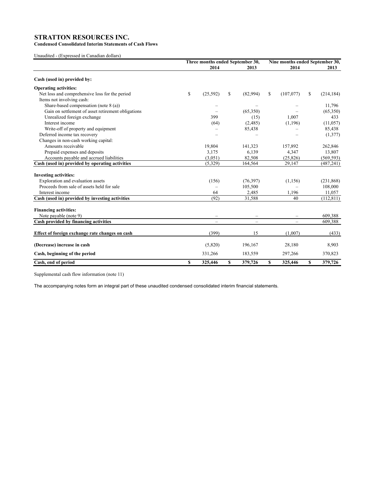**Condensed Consolidated Interim Statements of Cash Flows**

Unaudited - (Expressed in Canadian dollars)

|                                                    | Three months ended September 30, |                   |   |                          | Nine months ended September 30, |           |    |            |
|----------------------------------------------------|----------------------------------|-------------------|---|--------------------------|---------------------------------|-----------|----|------------|
|                                                    |                                  | 2014              |   | 2013                     |                                 | 2014      |    | 2013       |
| Cash (used in) provided by:                        |                                  |                   |   |                          |                                 |           |    |            |
| <b>Operating activities:</b>                       |                                  |                   |   |                          |                                 |           |    |            |
| Net loss and comprehensive loss for the period     | \$                               | (25, 592)         | S | (82,994)                 | \$                              | (107,077) | \$ | (214, 184) |
| Items not involving cash:                          |                                  |                   |   |                          |                                 |           |    |            |
| Share-based compensation (note $8$ (a))            |                                  |                   |   |                          |                                 |           |    | 11,796     |
| Gain on settlement of asset retirement obligations |                                  |                   |   | (65,350)                 |                                 |           |    | (65,350)   |
| Unrealized foreign exchange                        |                                  | 399               |   | (15)                     |                                 | 1,007     |    | 433        |
| Interest income                                    |                                  | (64)              |   | (2,485)                  |                                 | (1, 196)  |    | (11, 057)  |
| Write-off of property and equipment                |                                  |                   |   | 85,438                   |                                 |           |    | 85,438     |
| Deferred income tax recovery                       |                                  |                   |   |                          |                                 |           |    | (1,377)    |
| Changes in non-cash working capital:               |                                  |                   |   |                          |                                 |           |    |            |
| Amounts receivable                                 |                                  | 19,804            |   | 141,323                  |                                 | 157,892   |    | 262,846    |
| Prepaid expenses and deposits                      |                                  | 3,175             |   | 6,139                    |                                 | 4,347     |    | 13,807     |
| Accounts payable and accrued liabilities           |                                  | (3,051)           |   | 82,508                   |                                 | (25, 826) |    | (569, 593) |
| Cash (used in) provided by operating activities    |                                  | (5,329)           |   | 164,564                  |                                 | 29,147    |    | (487, 241) |
| <b>Investing activities:</b>                       |                                  |                   |   |                          |                                 |           |    |            |
| Exploration and evaluation assets                  |                                  | (156)             |   | (76, 397)                |                                 | (1, 156)  |    | (231, 868) |
| Proceeds from sale of assets held for sale         |                                  |                   |   | 105,500                  |                                 |           |    | 108,000    |
| Interest income                                    |                                  | 64                |   | 2,485                    |                                 | 1,196     |    | 11,057     |
| Cash (used in) provided by investing activities    |                                  | (92)              |   | 31,588                   |                                 | 40        |    | (112, 811) |
|                                                    |                                  |                   |   |                          |                                 |           |    |            |
| <b>Financing activities:</b>                       |                                  |                   |   |                          |                                 |           |    |            |
| Note payable (note 9)                              |                                  | $\qquad \qquad -$ |   |                          |                                 |           |    | 609,388    |
| Cash provided by financing activities              |                                  | $\equiv$          |   | $\overline{\phantom{0}}$ |                                 |           |    | 609,388    |
|                                                    |                                  |                   |   |                          |                                 |           |    |            |
| Effect of foreign exchange rate changes on cash    |                                  | (399)             |   | 15                       |                                 | (1,007)   |    | (433)      |
| (Decrease) increase in cash                        |                                  | (5,820)           |   | 196,167                  |                                 | 28,180    |    | 8,903      |
| Cash, beginning of the period                      |                                  | 331,266           |   | 183,559                  |                                 | 297,266   |    | 370,823    |
| Cash, end of period                                | \$                               | 325,446           | S | 379,726                  | S                               | 325,446   | \$ | 379,726    |

Supplemental cash flow information (note 11)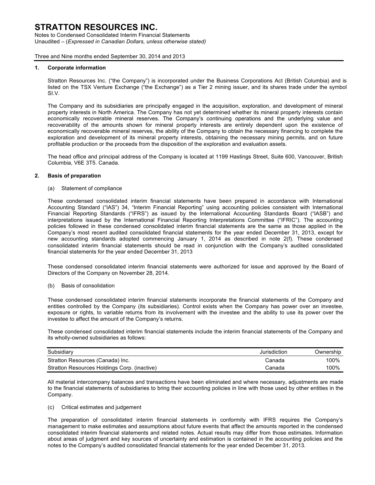Notes to Condensed Consolidated Interim Financial Statements Unaudited – (*Expressed in Canadian Dollars, unless otherwise stated)*

Three and Nine months ended September 30, 2014 and 2013

## **1. Corporate information**

Stratton Resources Inc. ("the Company") is incorporated under the Business Corporations Act (British Columbia) and is listed on the TSX Venture Exchange ("the Exchange") as a Tier 2 mining issuer, and its shares trade under the symbol SI.V.

The Company and its subsidiaries are principally engaged in the acquisition, exploration, and development of mineral property interests in North America. The Company has not yet determined whether its mineral property interests contain economically recoverable mineral reserves. The Company's continuing operations and the underlying value and recoverability of the amounts shown for mineral property interests are entirely dependent upon the existence of economically recoverable mineral reserves, the ability of the Company to obtain the necessary financing to complete the exploration and development of its mineral property interests, obtaining the necessary mining permits, and on future profitable production or the proceeds from the disposition of the exploration and evaluation assets.

The head office and principal address of the Company is located at 1199 Hastings Street, Suite 600, Vancouver, British Columbia, V6E 3T5. Canada.

### **2. Basis of preparation**

(a) Statement of compliance

These condensed consolidated interim financial statements have been prepared in accordance with International Accounting Standard ("IAS") 34, "Interim Financial Reporting" using accounting policies consistent with International Financial Reporting Standards ("IFRS") as issued by the International Accounting Standards Board ("IASB") and interpretations issued by the International Financial Reporting Interpretations Committee ("IFRIC"). The accounting policies followed in these condensed consolidated interim financial statements are the same as those applied in the Company's most recent audited consolidated financial statements for the year ended December 31, 2013, except for new accounting standards adopted commencing January 1, 2014 as described in note 2(f). These condensed consolidated interim financial statements should be read in conjunction with the Company's audited consolidated financial statements for the year ended December 31, 2013

These condensed consolidated interim financial statements were authorized for issue and approved by the Board of Directors of the Company on November 28, 2014.

#### (b) Basis of consolidation

These condensed consolidated interim financial statements incorporate the financial statements of the Company and entities controlled by the Company (its subsidiaries). Control exists when the Company has power over an investee, exposure or rights, to variable returns from its involvement with the investee and the ability to use its power over the investee to affect the amount of the Company's returns.

These condensed consolidated interim financial statements include the interim financial statements of the Company and its wholly-owned subsidiaries as follows:

| Subsidiary                                   | Jurisdiction | Ownership |
|----------------------------------------------|--------------|-----------|
| Stratton Resources (Canada) Inc.             | Canada       | 100%      |
| Stratton Resources Holdings Corp. (inactive) | Canada       | 100%      |

All material intercompany balances and transactions have been eliminated and where necessary, adjustments are made to the financial statements of subsidiaries to bring their accounting policies in line with those used by other entities in the Company.

# (c) Critical estimates and judgement

The preparation of consolidated interim financial statements in conformity with IFRS requires the Company's management to make estimates and assumptions about future events that affect the amounts reported in the condensed consolidated interim financial statements and related notes. Actual results may differ from those estimates. Information about areas of judgment and key sources of uncertainty and estimation is contained in the accounting policies and the notes to the Company's audited consolidated financial statements for the year ended December 31, 2013.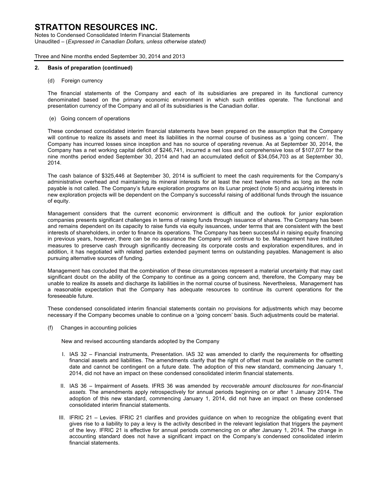Notes to Condensed Consolidated Interim Financial Statements Unaudited – (*Expressed in Canadian Dollars, unless otherwise stated)*

Three and Nine months ended September 30, 2014 and 2013

## **2. Basis of preparation (continued)**

(d) Foreign currency

The financial statements of the Company and each of its subsidiaries are prepared in its functional currency denominated based on the primary economic environment in which such entities operate. The functional and presentation currency of the Company and all of its subsidiaries is the Canadian dollar.

(e) Going concern of operations

These condensed consolidated interim financial statements have been prepared on the assumption that the Company will continue to realize its assets and meet its liabilities in the normal course of business as a 'going concern'. The Company has incurred losses since inception and has no source of operating revenue. As at September 30, 2014, the Company has a net working capital deficit of \$246,741, incurred a net loss and comprehensive loss of \$107,077 for the nine months period ended September 30, 2014 and had an accumulated deficit of \$34,054,703 as at September 30, 2014.

The cash balance of \$325,446 at September 30, 2014 is sufficient to meet the cash requirements for the Company's administrative overhead and maintaining its mineral interests for at least the next twelve months as long as the note payable is not called. The Company's future exploration programs on its Lunar project (note 5) and acquiring interests in new exploration projects will be dependent on the Company's successful raising of additional funds through the issuance of equity.

Management considers that the current economic environment is difficult and the outlook for junior exploration companies presents significant challenges in terms of raising funds through issuance of shares. The Company has been and remains dependent on its capacity to raise funds via equity issuances, under terms that are consistent with the best interests of shareholders, in order to finance its operations. The Company has been successful in raising equity financing in previous years, however, there can be no assurance the Company will continue to be. Management have instituted measures to preserve cash through significantly decreasing its corporate costs and exploration expenditures, and in addition, it has negotiated with related parties extended payment terms on outstanding payables. Management is also pursuing alternative sources of funding.

Management has concluded that the combination of these circumstances represent a material uncertainty that may cast significant doubt on the ability of the Company to continue as a going concern and, therefore, the Company may be unable to realize its assets and discharge its liabilities in the normal course of business. Nevertheless, Management has a reasonable expectation that the Company has adequate resources to continue its current operations for the foreseeable future.

These condensed consolidated interim financial statements contain no provisions for adjustments which may become necessary if the Company becomes unable to continue on a 'going concern' basis. Such adjustments could be material.

(f) Changes in accounting policies

New and revised accounting standards adopted by the Company

- I. IAS 32 Financial instruments, Presentation. IAS 32 was amended to clarify the requirements for offsetting financial assets and liabilities. The amendments clarify that the right of offset must be available on the current date and cannot be contingent on a future date. The adoption of this new standard, commencing January 1, 2014, did not have an impact on these condensed consolidated interim financial statements.
- II. IAS 36 Impairment of Assets. IFRS 36 was amended by *recoverable amount disclosures for non-financial assets.* The amendments apply retrospectively for annual periods beginning on or after 1 January 2014. The adoption of this new standard, commencing January 1, 2014, did not have an impact on these condensed consolidated interim financial statements.
- III. IFRIC 21 Levies. IFRIC 21 clarifies and provides guidance on when to recognize the obligating event that gives rise to a liability to pay a levy is the activity described in the relevant legislation that triggers the payment of the levy. IFRIC 21 is effective for annual periods commencing on or after January 1, 2014. The change in accounting standard does not have a significant impact on the Company's condensed consolidated interim financial statements.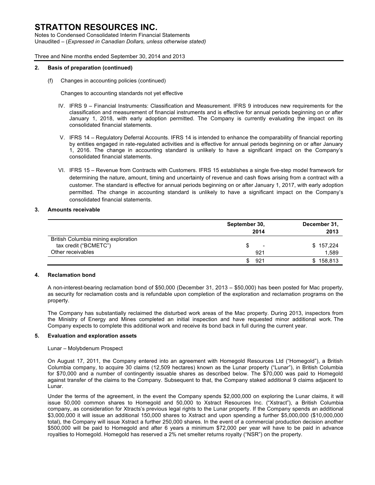Notes to Condensed Consolidated Interim Financial Statements Unaudited – (*Expressed in Canadian Dollars, unless otherwise stated)*

Three and Nine months ended September 30, 2014 and 2013

# **2. Basis of preparation (continued)**

(f) Changes in accounting policies (continued)

Changes to accounting standards not yet effective

- IV. IFRS 9 Financial Instruments: Classification and Measurement. IFRS 9 introduces new requirements for the classification and measurement of financial instruments and is effective for annual periods beginning on or after January 1, 2018, with early adoption permitted. The Company is currently evaluating the impact on its consolidated financial statements.
- V. IFRS 14 Regulatory Deferral Accounts. IFRS 14 is intended to enhance the comparability of financial reporting by entities engaged in rate-regulated activities and is effective for annual periods beginning on or after January 1, 2016. The change in accounting standard is unlikely to have a significant impact on the Company's consolidated financial statements.
- VI. IFRS 15 Revenue from Contracts with Customers. IFRS 15 establishes a single five-step model framework for determining the nature, amount, timing and uncertainty of revenue and cash flows arising from a contract with a customer. The standard is effective for annual periods beginning on or after January 1, 2017, with early adoption permitted. The change in accounting standard is unlikely to have a significant impact on the Company's consolidated financial statements.

# **3. Amounts receivable**

|                                     | September 30,                 | December 31,  |
|-------------------------------------|-------------------------------|---------------|
|                                     | 2014                          | 2013          |
| British Columbia mining exploration |                               |               |
| tax credit ("BCMETC")               | S<br>$\overline{\phantom{a}}$ | \$157,224     |
| Other receivables                   | 921                           | 1,589         |
|                                     | 921                           | 158,813<br>S. |

# **4. Reclamation bond**

A non-interest-bearing reclamation bond of \$50,000 (December 31, 2013 – \$50,000) has been posted for Mac property, as security for reclamation costs and is refundable upon completion of the exploration and reclamation programs on the property.

The Company has substantially reclaimed the disturbed work areas of the Mac property. During 2013, inspectors from the Ministry of Energy and Mines completed an initial inspection and have requested minor additional work. The Company expects to complete this additional work and receive its bond back in full during the current year.

#### **5. Evaluation and exploration assets**

#### Lunar – Molybdenum Prospect

On August 17, 2011, the Company entered into an agreement with Homegold Resources Ltd ("Homegold"), a British Columbia company, to acquire 30 claims (12,509 hectares) known as the Lunar property ("Lunar"), in British Columbia for \$70,000 and a number of contingently issuable shares as described below. The \$70,000 was paid to Homegold against transfer of the claims to the Company. Subsequent to that, the Company staked additional 9 claims adjacent to Lunar.

Under the terms of the agreement, in the event the Company spends \$2,000,000 on exploring the Lunar claims, it will issue 50,000 common shares to Homegold and 50,000 to Xstract Resources Inc. ("Xstract"), a British Columbia company, as consideration for Xtracts's previous legal rights to the Lunar property. If the Company spends an additional \$3,000,000 it will issue an additional 150,000 shares to Xstract and upon spending a further \$5,000,000 (\$10,000,000 total), the Company will issue Xstract a further 250,000 shares. In the event of a commercial production decision another \$500,000 will be paid to Homegold and after 6 years a minimum \$72,000 per year will have to be paid in advance royalties to Homegold. Homegold has reserved a 2% net smelter returns royalty ("NSR") on the property.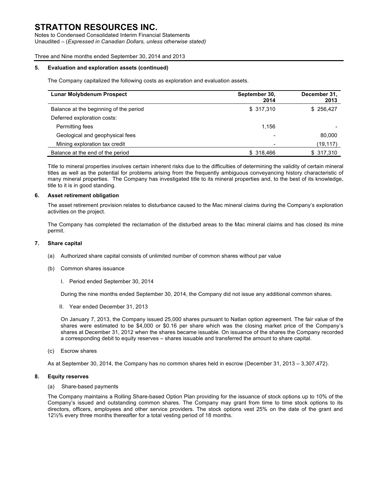Notes to Condensed Consolidated Interim Financial Statements Unaudited – (*Expressed in Canadian Dollars, unless otherwise stated)*

# Three and Nine months ended September 30, 2014 and 2013

## **5. Evaluation and exploration assets (continued)**

The Company capitalized the following costs as exploration and evaluation assets.

| <b>Lunar Molybdenum Prospect</b>       | September 30,<br>2014 | December 31,<br>2013 |
|----------------------------------------|-----------------------|----------------------|
| Balance at the beginning of the period | \$317,310             | \$256,427            |
| Deferred exploration costs:            |                       |                      |
| Permitting fees                        | 1,156                 |                      |
| Geological and geophysical fees        |                       | 80,000               |
| Mining exploration tax credit          |                       | (19, 117)            |
| Balance at the end of the period       | \$ 318,466            | \$317,310            |

Title to mineral properties involves certain inherent risks due to the difficulties of determining the validity of certain mineral titles as well as the potential for problems arising from the frequently ambiguous conveyancing history characteristic of many mineral properties. The Company has investigated title to its mineral properties and, to the best of its knowledge, title to it is in good standing.

### **6. Asset retirement obligation**

The asset retirement provision relates to disturbance caused to the Mac mineral claims during the Company's exploration activities on the project.

The Company has completed the reclamation of the disturbed areas to the Mac mineral claims and has closed its mine permit.

#### **7. Share capital**

- (a) Authorized share capital consists of unlimited number of common shares without par value
- (b) Common shares issuance
	- I. Period ended September 30, 2014

During the nine months ended September 30, 2014, the Company did not issue any additional common shares.

II. Year ended December 31, 2013

On January 7, 2013, the Company issued 25,000 shares pursuant to Natlan option agreement. The fair value of the shares were estimated to be \$4,000 or \$0.16 per share which was the closing market price of the Company's shares at December 31, 2012 when the shares became issuable. On issuance of the shares the Company recorded a corresponding debit to equity reserves – shares issuable and transferred the amount to share capital.

(c) Escrow shares

As at September 30, 2014, the Company has no common shares held in escrow (December 31, 2013 – 3,307,472).

## **8. Equity reserves**

(a) Share-based payments

The Company maintains a Rolling Share-based Option Plan providing for the issuance of stock options up to 10% of the Company's issued and outstanding common shares. The Company may grant from time to time stock options to its directors, officers, employees and other service providers. The stock options vest 25% on the date of the grant and 12½% every three months thereafter for a total vesting period of 18 months.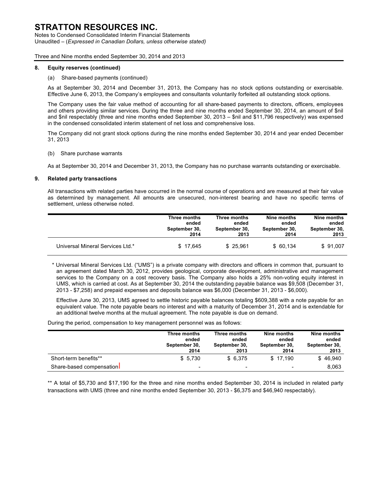Notes to Condensed Consolidated Interim Financial Statements Unaudited – (*Expressed in Canadian Dollars, unless otherwise stated)*

Three and Nine months ended September 30, 2014 and 2013

## **8. Equity reserves (continued)**

### (a) Share-based payments (continued)

As at September 30, 2014 and December 31, 2013, the Company has no stock options outstanding or exercisable. Effective June 6, 2013, the Company's employees and consultants voluntarily forfeited all outstanding stock options.

The Company uses the fair value method of accounting for all share-based payments to directors, officers, employees and others providing similar services. During the three and nine months ended September 30, 2014, an amount of \$nil and \$nil respectably (three and nine months ended September 30, 2013 – \$nil and \$11,796 respectively) was expensed in the condensed consolidated interim statement of net loss and comprehensive loss.

The Company did not grant stock options during the nine months ended September 30, 2014 and year ended December 31, 2013

### (b) Share purchase warrants

As at September 30, 2014 and December 31, 2013, the Company has no purchase warrants outstanding or exercisable.

### **9. Related party transactions**

All transactions with related parties have occurred in the normal course of operations and are measured at their fair value as determined by management. All amounts are unsecured, non-interest bearing and have no specific terms of settlement, unless otherwise noted.

|                                  | Three months  | Three months  | Nine months   | Nine months   |
|----------------------------------|---------------|---------------|---------------|---------------|
|                                  | ended         | ended         | ended         | ended         |
|                                  | September 30, | September 30, | September 30, | September 30, |
|                                  | 2014          | 2013          | 2014          | 2013          |
| Universal Mineral Services Ltd.* | \$17.645      | \$ 25.961     | \$60.134      | \$91.007      |

\* Universal Mineral Services Ltd. ("UMS") is a private company with directors and officers in common that, pursuant to an agreement dated March 30, 2012, provides geological, corporate development, administrative and management services to the Company on a cost recovery basis. The Company also holds a 25% non-voting equity interest in UMS, which is carried at cost. As at September 30, 2014 the outstanding payable balance was \$9,508 (December 31, 2013 - \$7,258) and prepaid expenses and deposits balance was \$6,000 (December 31, 2013 - \$6,000).

Effective June 30, 2013, UMS agreed to settle historic payable balances totaling \$609,388 with a note payable for an equivalent value. The note payable bears no interest and with a maturity of December 31, 2014 and is extendable for an additional twelve months at the mutual agreement. The note payable is due on demand.

During the period, compensation to key management personnel was as follows:

|                          | Three months<br>ended<br>September 30,<br>2014 | Three months<br>ended<br>September 30,<br>2013 | Nine months<br>ended<br>September 30,<br>2014 | Nine months<br>ended<br>September 30,<br>2013 |
|--------------------------|------------------------------------------------|------------------------------------------------|-----------------------------------------------|-----------------------------------------------|
| Short-term benefits**    | \$5.730                                        | \$6.375                                        | \$17.190                                      | \$46,940                                      |
| Share-based compensation | $\overline{\phantom{0}}$                       | $\overline{\phantom{0}}$                       | $\overline{\phantom{a}}$                      | 8.063                                         |

\*\* A total of \$5,730 and \$17,190 for the three and nine months ended September 30, 2014 is included in related party transactions with UMS (three and nine months ended September 30, 2013 - \$6,375 and \$46,940 respectably).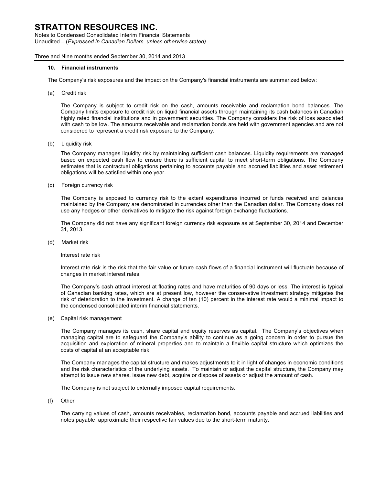Notes to Condensed Consolidated Interim Financial Statements Unaudited – (*Expressed in Canadian Dollars, unless otherwise stated)*

Three and Nine months ended September 30, 2014 and 2013

### **10. Financial instruments**

The Company's risk exposures and the impact on the Company's financial instruments are summarized below:

(a) Credit risk

The Company is subject to credit risk on the cash, amounts receivable and reclamation bond balances. The Company limits exposure to credit risk on liquid financial assets through maintaining its cash balances in Canadian highly rated financial institutions and in government securities. The Company considers the risk of loss associated with cash to be low. The amounts receivable and reclamation bonds are held with government agencies and are not considered to represent a credit risk exposure to the Company.

(b) Liquidity risk

The Company manages liquidity risk by maintaining sufficient cash balances. Liquidity requirements are managed based on expected cash flow to ensure there is sufficient capital to meet short-term obligations. The Company estimates that is contractual obligations pertaining to accounts payable and accrued liabilities and asset retirement obligations will be satisfied within one year.

(c) Foreign currency risk

The Company is exposed to currency risk to the extent expenditures incurred or funds received and balances maintained by the Company are denominated in currencies other than the Canadian dollar. The Company does not use any hedges or other derivatives to mitigate the risk against foreign exchange fluctuations.

The Company did not have any significant foreign currency risk exposure as at September 30, 2014 and December 31, 2013.

(d) Market risk

#### Interest rate risk

Interest rate risk is the risk that the fair value or future cash flows of a financial instrument will fluctuate because of changes in market interest rates.

The Company's cash attract interest at floating rates and have maturities of 90 days or less. The interest is typical of Canadian banking rates, which are at present low, however the conservative investment strategy mitigates the risk of deterioration to the investment. A change of ten (10) percent in the interest rate would a minimal impact to the condensed consolidated interim financial statements.

(e) Capital risk management

The Company manages its cash, share capital and equity reserves as capital. The Company's objectives when managing capital are to safeguard the Company's ability to continue as a going concern in order to pursue the acquisition and exploration of mineral properties and to maintain a flexible capital structure which optimizes the costs of capital at an acceptable risk.

The Company manages the capital structure and makes adjustments to it in light of changes in economic conditions and the risk characteristics of the underlying assets. To maintain or adjust the capital structure, the Company may attempt to issue new shares, issue new debt, acquire or dispose of assets or adjust the amount of cash.

The Company is not subject to externally imposed capital requirements.

(f) Other

The carrying values of cash, amounts receivables, reclamation bond, accounts payable and accrued liabilities and notes payable approximate their respective fair values due to the short-term maturity.